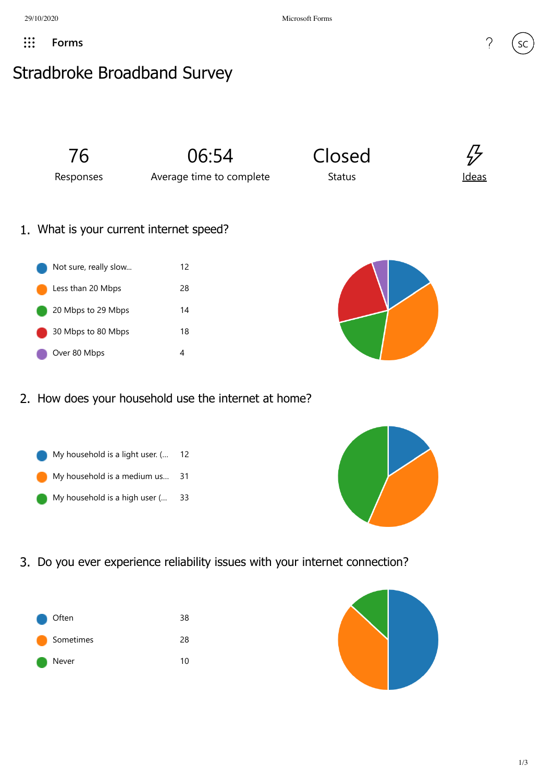## Stradbroke Broadband Survey



2. How does your household use the internet at home?





3. Do you ever experience reliability issues with your internet connection?



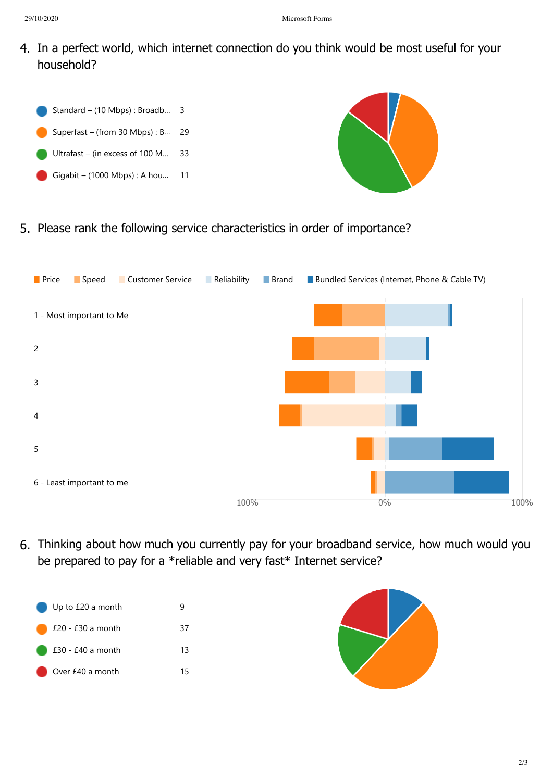## 29/10/2020 Microsoft Forms

4. In a perfect world, which internet connection do you think would be most useful for your household?





5. Please rank the following service characteristics in order of importance?



6. Thinking about how much you currently pay for your broadband service, how much would you be prepared to pay for a \*reliable and very fast\* Internet service?